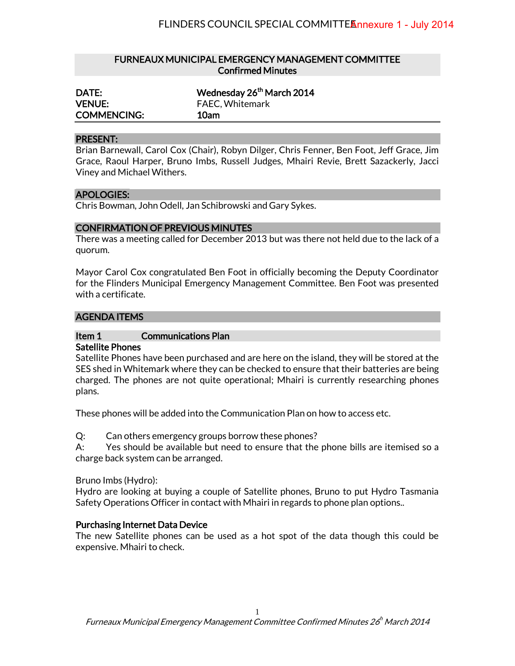## FURNEAUX MUNICIPAL EMERGENCY MANAGEMENT COMMITTEE Confirmed Minutes

| DATE:              | Wednesday 26 <sup>th</sup> March 2014 |
|--------------------|---------------------------------------|
| <b>VENUE:</b>      | <b>FAEC, Whitemark</b>                |
| <b>COMMENCING:</b> | 10am                                  |

### PRESENT:

Brian Barnewall, Carol Cox (Chair), Robyn Dilger, Chris Fenner, Ben Foot, Jeff Grace, Jim Grace, Raoul Harper, Bruno Imbs, Russell Judges, Mhairi Revie, Brett Sazackerly, Jacci Viney and Michael Withers.

#### APOLOGIES:

Chris Bowman, John Odell, Jan Schibrowski and Gary Sykes.

### CONFIRMATION OF PREVIOUS MINUTES

There was a meeting called for December 2013 but was there not held due to the lack of a quorum.

Mayor Carol Cox congratulated Ben Foot in officially becoming the Deputy Coordinator for the Flinders Municipal Emergency Management Committee. Ben Foot was presented with a certificate.

#### AGENDA ITEMS

# Item 1 Communications Plan

### Satellite Phones

Satellite Phones have been purchased and are here on the island, they will be stored at the SES shed in Whitemark where they can be checked to ensure that their batteries are being charged. The phones are not quite operational; Mhairi is currently researching phones plans.

These phones will be added into the Communication Plan on how to access etc.

Q: Can others emergency groups borrow these phones?

A: Yes should be available but need to ensure that the phone bills are itemised so a charge back system can be arranged.

Bruno Imbs (Hydro):

Hydro are looking at buying a couple of Satellite phones, Bruno to put Hydro Tasmania Safety Operations Officer in contact with Mhairi in regards to phone plan options..

### Purchasing Internet Data Device

The new Satellite phones can be used as a hot spot of the data though this could be expensive. Mhairi to check.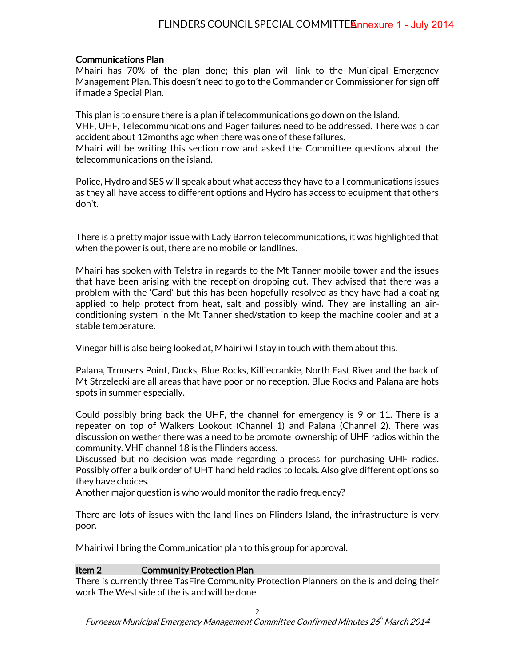# Communications Plan

Mhairi has 70% of the plan done; this plan will link to the Municipal Emergency Management Plan. This doesn't need to go to the Commander or Commissioner for sign off if made a Special Plan.

This plan is to ensure there is a plan if telecommunications go down on the Island. VHF, UHF, Telecommunications and Pager failures need to be addressed. There was a car accident about 12months ago when there was one of these failures. Mhairi will be writing this section now and asked the Committee questions about the telecommunications on the island.

Police, Hydro and SES will speak about what access they have to all communications issues as they all have access to different options and Hydro has access to equipment that others don't.

There is a pretty major issue with Lady Barron telecommunications, it was highlighted that when the power is out, there are no mobile or landlines.

Mhairi has spoken with Telstra in regards to the Mt Tanner mobile tower and the issues that have been arising with the reception dropping out. They advised that there was a problem with the 'Card' but this has been hopefully resolved as they have had a coating applied to help protect from heat, salt and possibly wind. They are installing an airconditioning system in the Mt Tanner shed/station to keep the machine cooler and at a stable temperature.

Vinegar hill is also being looked at, Mhairi will stay in touch with them about this.

Palana, Trousers Point, Docks, Blue Rocks, Killiecrankie, North East River and the back of Mt Strzelecki are all areas that have poor or no reception. Blue Rocks and Palana are hots spots in summer especially.

Could possibly bring back the UHF, the channel for emergency is 9 or 11. There is a repeater on top of Walkers Lookout (Channel 1) and Palana (Channel 2). There was discussion on wether there was a need to be promote ownership of UHF radios within the community. VHF channel 18 is the Flinders access.

Discussed but no decision was made regarding a process for purchasing UHF radios. Possibly offer a bulk order of UHT hand held radios to locals. Also give different options so they have choices.

Another major question is who would monitor the radio frequency?

There are lots of issues with the land lines on Flinders Island, the infrastructure is very poor.

Mhairi will bring the Communication plan to this group for approval.

# Item 2 Community Protection Plan

There is currently three TasFire Community Protection Planners on the island doing their work The West side of the island will be done.

2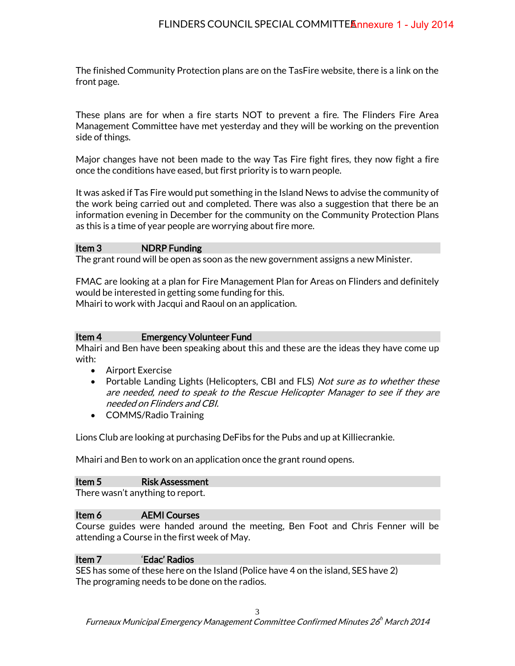The finished Community Protection plans are on the TasFire website, there is a link on the front page.

These plans are for when a fire starts NOT to prevent a fire. The Flinders Fire Area Management Committee have met yesterday and they will be working on the prevention side of things.

Major changes have not been made to the way Tas Fire fight fires, they now fight a fire once the conditions have eased, but first priority is to warn people.

It was asked if Tas Fire would put something in the Island News to advise the community of the work being carried out and completed. There was also a suggestion that there be an information evening in December for the community on the Community Protection Plans as this is a time of year people are worrying about fire more.

## Item 3 NDRP Funding

The grant round will be open as soon as the new government assigns a new Minister.

FMAC are looking at a plan for Fire Management Plan for Areas on Flinders and definitely would be interested in getting some funding for this.

Mhairi to work with Jacqui and Raoul on an application.

### Item 4 Emergency Volunteer Fund

Mhairi and Ben have been speaking about this and these are the ideas they have come up with:

- Airport Exercise
- Portable Landing Lights (Helicopters, CBI and FLS) *Not sure as to whether these* are needed, need to speak to the Rescue Helicopter Manager to see if they are needed on Flinders and CBI.
- COMMS/Radio Training

Lions Club are looking at purchasing DeFibs for the Pubs and up at Killiecrankie.

Mhairi and Ben to work on an application once the grant round opens.

### Item 5 Risk Assessment

There wasn't anything to report.

# Item 6 AEMI Courses

Course guides were handed around the meeting, Ben Foot and Chris Fenner will be attending a Course in the first week of May.

### Item 7 'Edac' Radios

SES has some of these here on the Island (Police have 4 on the island, SES have 2) The programing needs to be done on the radios.